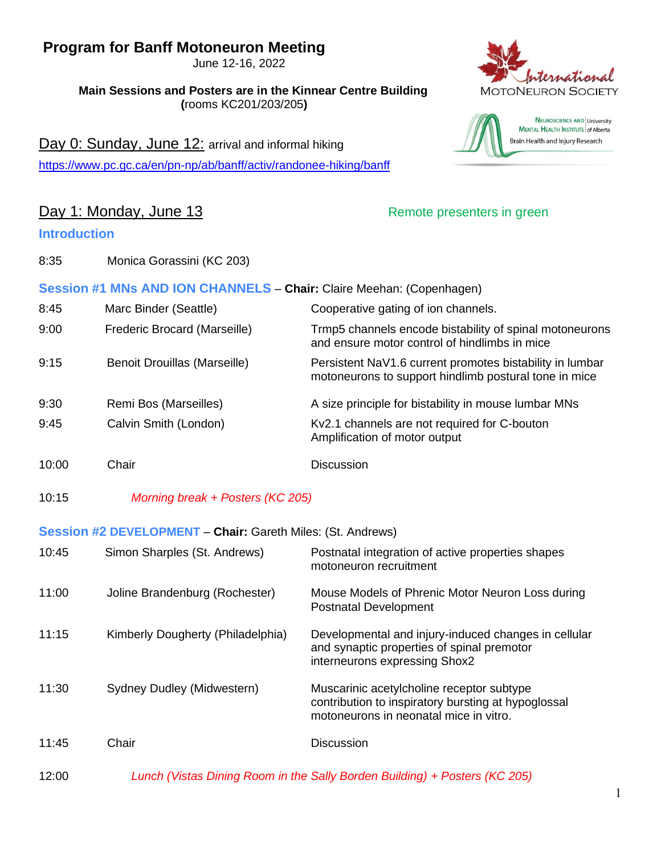# **Program for Banff Motoneuron Meeting**

June 12-16, 2022

**Main Sessions and Posters are in the Kinnear Centre Building (**rooms KC201/203/205**)**

Day 0: Sunday, June 12: arrival and informal hiking <https://www.pc.gc.ca/en/pn-np/ab/banff/activ/randonee-hiking/banff>

#### Day 1: Monday, June 13 **Day 1: Monday, June 13**

#### **Introduction**

8:35 Monica Gorassini (KC 203)





|       |                              | Session #1 MNs AND ION CHANNELS - Chair: Claire Meehan: (Copenhagen)                                              |
|-------|------------------------------|-------------------------------------------------------------------------------------------------------------------|
| 8:45  | Marc Binder (Seattle)        | Cooperative gating of ion channels.                                                                               |
| 9:00  | Frederic Brocard (Marseille) | Trmp5 channels encode bistability of spinal motoneurons<br>and ensure motor control of hindlimbs in mice          |
| 9:15  | Benoit Drouillas (Marseille) | Persistent NaV1.6 current promotes bistability in lumbar<br>motoneurons to support hindlimb postural tone in mice |
| 9:30  | Remi Bos (Marseilles)        | A size principle for bistability in mouse lumbar MNs                                                              |
| 9:45  | Calvin Smith (London)        | Kv2.1 channels are not required for C-bouton<br>Amplification of motor output                                     |
| 10:00 | Chair                        | <b>Discussion</b>                                                                                                 |

10:15 *Morning break + Posters (KC 205)*

#### **Session #2 DEVELOPMENT** – **Chair:** Gareth Miles: (St. Andrews)

| 10:45 | Simon Sharples (St. Andrews)      | Postnatal integration of active properties shapes<br>motoneuron recruitment                                                                |
|-------|-----------------------------------|--------------------------------------------------------------------------------------------------------------------------------------------|
| 11:00 | Joline Brandenburg (Rochester)    | Mouse Models of Phrenic Motor Neuron Loss during<br><b>Postnatal Development</b>                                                           |
| 11:15 | Kimberly Dougherty (Philadelphia) | Developmental and injury-induced changes in cellular<br>and synaptic properties of spinal premotor<br>interneurons expressing Shox2        |
| 11:30 | Sydney Dudley (Midwestern)        | Muscarinic acetylcholine receptor subtype<br>contribution to inspiratory bursting at hypoglossal<br>motoneurons in neonatal mice in vitro. |
| 11:45 | Chair                             | <b>Discussion</b>                                                                                                                          |

12:00 *Lunch (Vistas Dining Room in the Sally Borden Building) + Posters (KC 205)*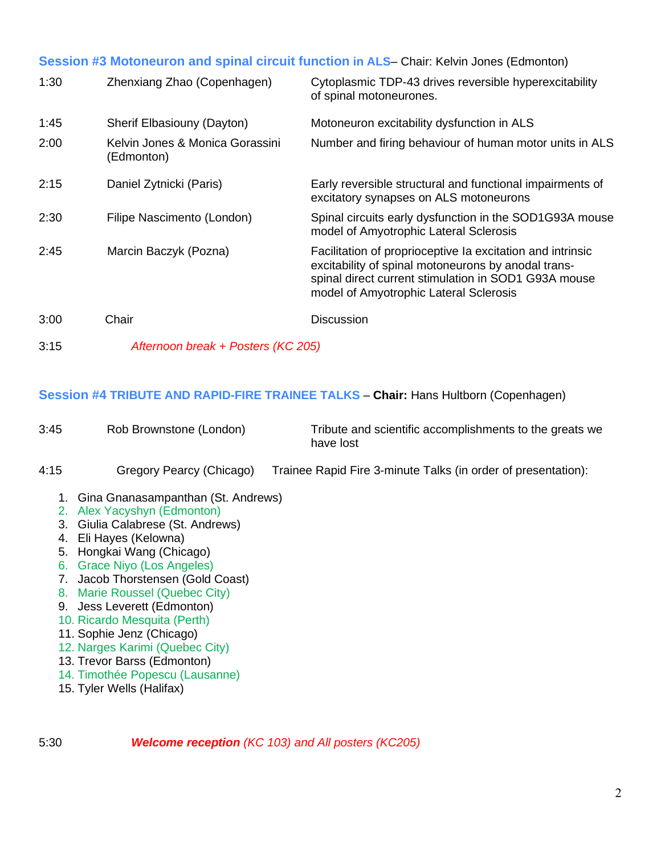#### **Session #3 Motoneuron and spinal circuit function in ALS**– Chair: Kelvin Jones (Edmonton)

| 1:30 | Zhenxiang Zhao (Copenhagen)                   | Cytoplasmic TDP-43 drives reversible hyperexcitability<br>of spinal motoneurones.                                                                                                                                   |
|------|-----------------------------------------------|---------------------------------------------------------------------------------------------------------------------------------------------------------------------------------------------------------------------|
| 1:45 | Sherif Elbasiouny (Dayton)                    | Motoneuron excitability dysfunction in ALS                                                                                                                                                                          |
| 2:00 | Kelvin Jones & Monica Gorassini<br>(Edmonton) | Number and firing behaviour of human motor units in ALS                                                                                                                                                             |
| 2:15 | Daniel Zytnicki (Paris)                       | Early reversible structural and functional impairments of<br>excitatory synapses on ALS motoneurons                                                                                                                 |
| 2:30 | Filipe Nascimento (London)                    | Spinal circuits early dysfunction in the SOD1G93A mouse<br>model of Amyotrophic Lateral Sclerosis                                                                                                                   |
| 2:45 | Marcin Baczyk (Pozna)                         | Facilitation of proprioceptive Ia excitation and intrinsic<br>excitability of spinal motoneurons by anodal trans-<br>spinal direct current stimulation in SOD1 G93A mouse<br>model of Amyotrophic Lateral Sclerosis |
| 3:00 | Chair                                         | <b>Discussion</b>                                                                                                                                                                                                   |
| 3:15 | Afternoon break + Posters (KC 205)            |                                                                                                                                                                                                                     |

#### **Session #4 TRIBUTE AND RAPID-FIRE TRAINEE TALKS** – **Chair:** Hans Hultborn (Copenhagen)

| 3:45 | Rob Brownstone (London)  | Tribute and scientific accomplishments to the greats we<br>have lost |
|------|--------------------------|----------------------------------------------------------------------|
| 4:15 | Gregory Pearcy (Chicago) | Trainee Rapid Fire 3-minute Talks (in order of presentation):        |

- 1. Gina Gnanasampanthan (St. Andrews)
- 2. Alex Yacyshyn (Edmonton)
- 3. Giulia Calabrese (St. Andrews)
- 4. Eli Hayes (Kelowna)
- 5. Hongkai Wang (Chicago)
- 6. Grace Niyo (Los Angeles)
- 7. Jacob Thorstensen (Gold Coast)
- 8. Marie Roussel (Quebec City)
- 9. Jess Leverett (Edmonton)
- 10. Ricardo Mesquita (Perth)
- 11. Sophie Jenz (Chicago)
- 12. Narges Karimi (Quebec City)
- 13. Trevor Barss (Edmonton)
- 14. Timothée Popescu (Lausanne)
- 15. Tyler Wells (Halifax)

5:30 *Welcome reception (KC 103) and All posters (KC205)*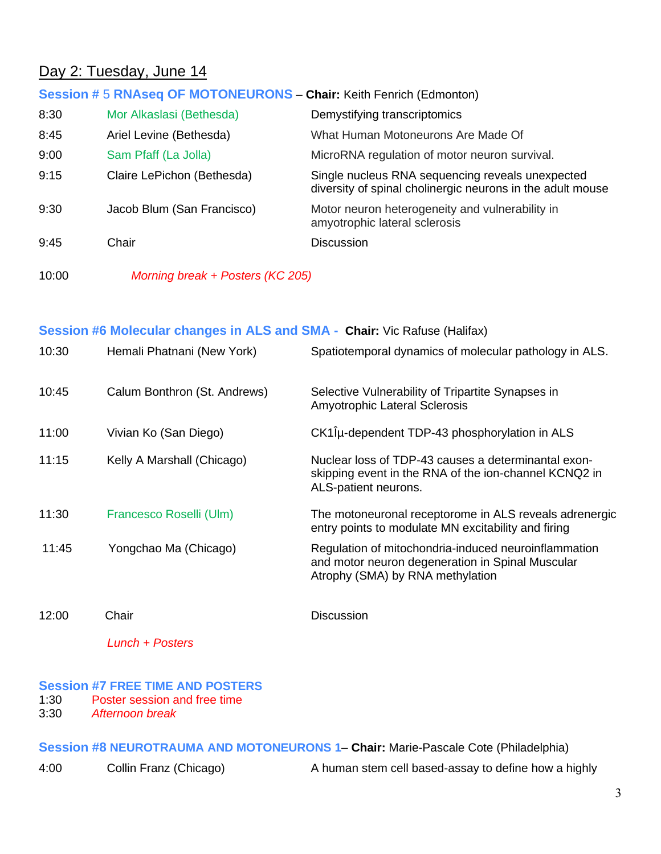### Day 2: Tuesday, June 14

| Session # 5 RNAseq OF MOTONEURONS - Chair: Keith Fenrich (Edmonton) |                            |                                                                                                                |
|---------------------------------------------------------------------|----------------------------|----------------------------------------------------------------------------------------------------------------|
| 8:30                                                                | Mor Alkaslasi (Bethesda)   | Demystifying transcriptomics                                                                                   |
| 8:45                                                                | Ariel Levine (Bethesda)    | What Human Motoneurons Are Made Of                                                                             |
| 9:00                                                                | Sam Pfaff (La Jolla)       | MicroRNA regulation of motor neuron survival.                                                                  |
| 9:15                                                                | Claire LePichon (Bethesda) | Single nucleus RNA sequencing reveals unexpected<br>diversity of spinal cholinergic neurons in the adult mouse |
| 9:30                                                                | Jacob Blum (San Francisco) | Motor neuron heterogeneity and vulnerability in<br>amyotrophic lateral sclerosis                               |
| 9:45                                                                | Chair                      | <b>Discussion</b>                                                                                              |

10:00 *Morning break + Posters (KC 205)*

# **Session #6 Molecular changes in ALS and SMA - Chair:** Vic Rafuse (Halifax) 10:30 Hemali Phatnani (New York) Spatiotemporal dynamics of molecular pathology in ALS. 10:45 Calum Bonthron (St. Andrews) Selective Vulnerability of Tripartite Synapses in Amyotrophic Lateral Sclerosis 11:00 Vivian Ko (San Diego) CK1Îμ-dependent TDP-43 phosphorylation in ALS 11:15 Kelly A Marshall (Chicago) Nuclear loss of TDP-43 causes a determinantal exonskipping event in the RNA of the ion-channel KCNQ2 in ALS-patient neurons. 11:30 Francesco Roselli (Ulm) The motoneuronal receptorome in ALS reveals adrenergic entry points to modulate MN excitability and firing 11:45 Yongchao Ma (Chicago) Regulation of mitochondria-induced neuroinflammation and motor neuron degeneration in Spinal Muscular Atrophy (SMA) by RNA methylation 12:00 Chair Discussion

*Lunch + Posters*

#### **Session #7 FREE TIME AND POSTERS**

1:30 Poster session and free time

3:30 *Afternoon break*

**Session #8 NEUROTRAUMA AND MOTONEURONS 1**– **Chair:** Marie-Pascale Cote (Philadelphia)

4:00 Collin Franz (Chicago) A human stem cell based-assay to define how a highly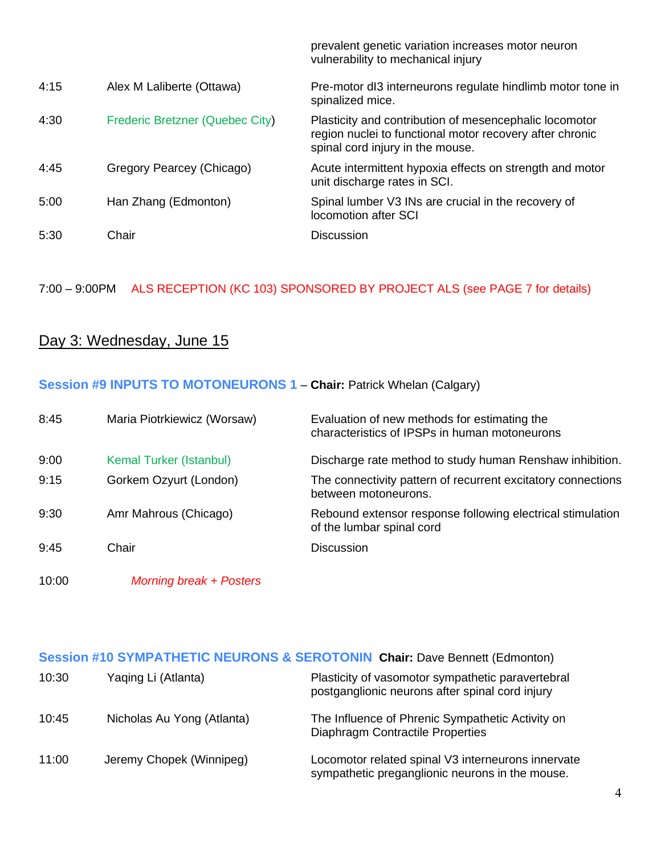|      |                                 | prevalent genetic variation increases motor neuron<br>vulnerability to mechanical injury                                                               |
|------|---------------------------------|--------------------------------------------------------------------------------------------------------------------------------------------------------|
| 4:15 | Alex M Laliberte (Ottawa)       | Pre-motor dl3 interneurons regulate hindlimb motor tone in<br>spinalized mice.                                                                         |
| 4:30 | Frederic Bretzner (Quebec City) | Plasticity and contribution of mesencephalic locomotor<br>region nuclei to functional motor recovery after chronic<br>spinal cord injury in the mouse. |
| 4:45 | Gregory Pearcey (Chicago)       | Acute intermittent hypoxia effects on strength and motor<br>unit discharge rates in SCI.                                                               |
| 5:00 | Han Zhang (Edmonton)            | Spinal lumber V3 INs are crucial in the recovery of<br>locomotion after SCI                                                                            |
| 5:30 | Chair                           | <b>Discussion</b>                                                                                                                                      |

7:00 – 9:00PM ALS RECEPTION (KC 103) SPONSORED BY PROJECT ALS (see PAGE 7 for details)

# Day 3: Wednesday, June 15

#### **Session #9 INPUTS TO MOTONEURONS 1** – **Chair:** Patrick Whelan (Calgary)

| 8:45  | Maria Piotrkiewicz (Worsaw) | Evaluation of new methods for estimating the<br>characteristics of IPSPs in human motoneurons |
|-------|-----------------------------|-----------------------------------------------------------------------------------------------|
| 9:00  | Kemal Turker (Istanbul)     | Discharge rate method to study human Renshaw inhibition.                                      |
| 9:15  | Gorkem Ozyurt (London)      | The connectivity pattern of recurrent excitatory connections<br>between motoneurons.          |
| 9:30  | Amr Mahrous (Chicago)       | Rebound extensor response following electrical stimulation<br>of the lumbar spinal cord       |
| 9:45  | Chair                       | <b>Discussion</b>                                                                             |
| 10:00 | Morning break + Posters     |                                                                                               |

### **Session #10 SYMPATHETIC NEURONS & SEROTONIN Chair:** Dave Bennett (Edmonton)

| 10:30 | Yaqing Li (Atlanta)        | Plasticity of vasomotor sympathetic paravertebral<br>postganglionic neurons after spinal cord injury  |
|-------|----------------------------|-------------------------------------------------------------------------------------------------------|
| 10:45 | Nicholas Au Yong (Atlanta) | The Influence of Phrenic Sympathetic Activity on<br><b>Diaphragm Contractile Properties</b>           |
| 11:00 | Jeremy Chopek (Winnipeg)   | Locomotor related spinal V3 interneurons innervate<br>sympathetic preganglionic neurons in the mouse. |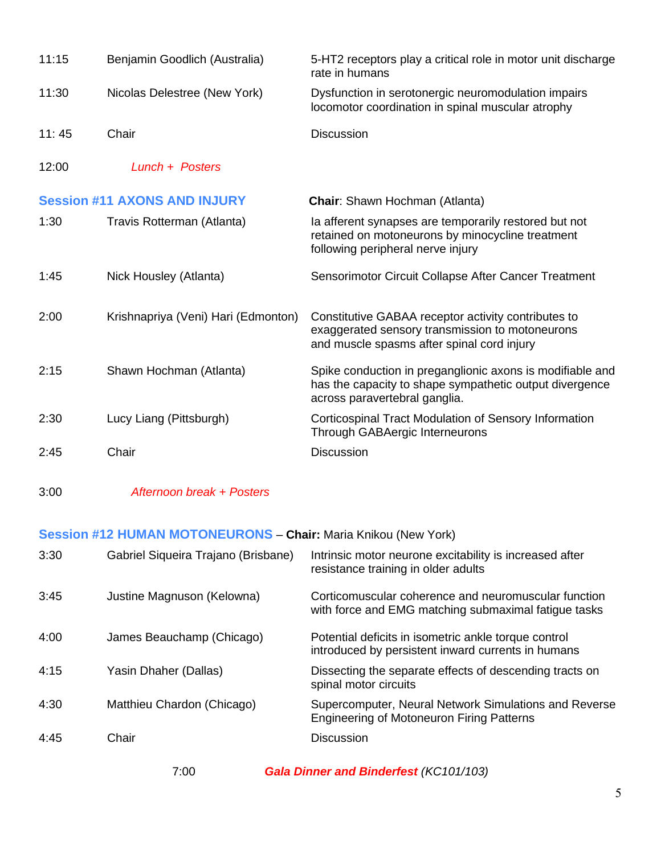| 11:15 | Benjamin Goodlich (Australia)       | 5-HT2 receptors play a critical role in motor unit discharge<br>rate in humans                                                                        |
|-------|-------------------------------------|-------------------------------------------------------------------------------------------------------------------------------------------------------|
| 11:30 | Nicolas Delestree (New York)        | Dysfunction in serotonergic neuromodulation impairs<br>locomotor coordination in spinal muscular atrophy                                              |
| 11:45 | Chair                               | <b>Discussion</b>                                                                                                                                     |
| 12:00 | Lunch + Posters                     |                                                                                                                                                       |
|       | <b>Session #11 AXONS AND INJURY</b> | <b>Chair:</b> Shawn Hochman (Atlanta)                                                                                                                 |
| 1:30  | Travis Rotterman (Atlanta)          | la afferent synapses are temporarily restored but not<br>retained on motoneurons by minocycline treatment<br>following peripheral nerve injury        |
| 1:45  | Nick Housley (Atlanta)              | Sensorimotor Circuit Collapse After Cancer Treatment                                                                                                  |
| 2:00  | Krishnapriya (Veni) Hari (Edmonton) | Constitutive GABAA receptor activity contributes to<br>exaggerated sensory transmission to motoneurons<br>and muscle spasms after spinal cord injury  |
| 2:15  | Shawn Hochman (Atlanta)             | Spike conduction in preganglionic axons is modifiable and<br>has the capacity to shape sympathetic output divergence<br>across paravertebral ganglia. |
| 2:30  | Lucy Liang (Pittsburgh)             | Corticospinal Tract Modulation of Sensory Information<br><b>Through GABAergic Interneurons</b>                                                        |
| 2:45  | Chair                               | <b>Discussion</b>                                                                                                                                     |

3:00 *Afternoon break + Posters*

#### **Session #12 HUMAN MOTONEURONS** – **Chair:** Maria Knikou (New York)

| 3:30 | Gabriel Siqueira Trajano (Brisbane) | Intrinsic motor neurone excitability is increased after<br>resistance training in older adults               |
|------|-------------------------------------|--------------------------------------------------------------------------------------------------------------|
| 3:45 | Justine Magnuson (Kelowna)          | Corticomuscular coherence and neuromuscular function<br>with force and EMG matching submaximal fatigue tasks |
| 4:00 | James Beauchamp (Chicago)           | Potential deficits in isometric ankle torque control<br>introduced by persistent inward currents in humans   |
| 4:15 | Yasin Dhaher (Dallas)               | Dissecting the separate effects of descending tracts on<br>spinal motor circuits                             |
| 4:30 | Matthieu Chardon (Chicago)          | Supercomputer, Neural Network Simulations and Reverse<br><b>Engineering of Motoneuron Firing Patterns</b>    |
| 4:45 | Chair                               | <b>Discussion</b>                                                                                            |

7:00 *Gala Dinner and Binderfest (KC101/103)*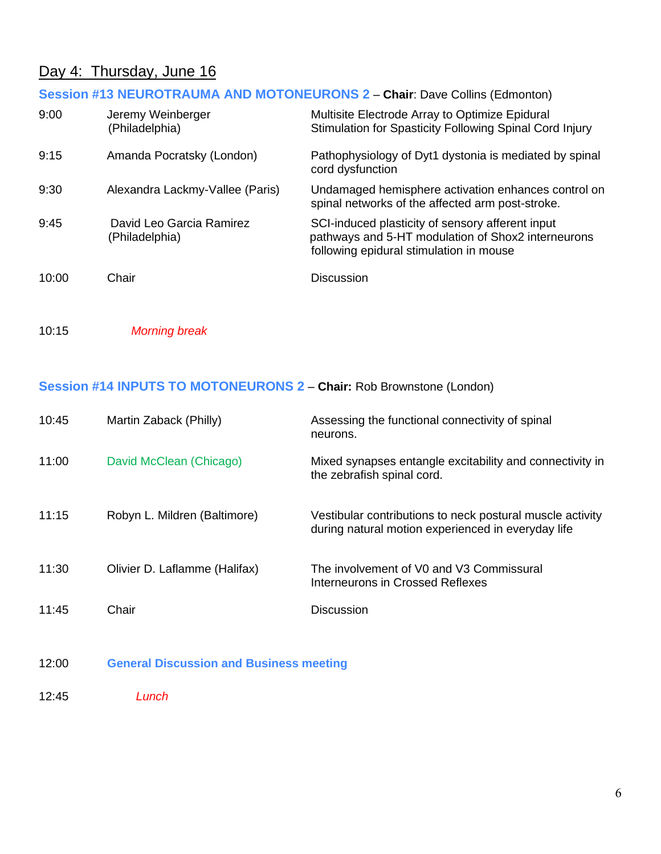# Day 4: Thursday, June 16

# **Session #13 NEUROTRAUMA AND MOTONEURONS 2** – **Chair**: Dave Collins (Edmonton)

| 9:00  | Jeremy Weinberger<br>(Philadelphia)        | Multisite Electrode Array to Optimize Epidural<br>Stimulation for Spasticity Following Spinal Cord Injury                                         |
|-------|--------------------------------------------|---------------------------------------------------------------------------------------------------------------------------------------------------|
| 9:15  | Amanda Pocratsky (London)                  | Pathophysiology of Dyt1 dystonia is mediated by spinal<br>cord dysfunction                                                                        |
| 9:30  | Alexandra Lackmy-Vallee (Paris)            | Undamaged hemisphere activation enhances control on<br>spinal networks of the affected arm post-stroke.                                           |
| 9:45  | David Leo Garcia Ramirez<br>(Philadelphia) | SCI-induced plasticity of sensory afferent input<br>pathways and 5-HT modulation of Shox2 interneurons<br>following epidural stimulation in mouse |
| 10:00 | Chair                                      | <b>Discussion</b>                                                                                                                                 |

10:15 *Morning break*

#### **Session #14 INPUTS TO MOTONEURONS 2** – **Chair:** Rob Brownstone (London)

| 10:45 | Martin Zaback (Philly)                         | Assessing the functional connectivity of spinal<br>neurons.                                                     |
|-------|------------------------------------------------|-----------------------------------------------------------------------------------------------------------------|
| 11:00 | David McClean (Chicago)                        | Mixed synapses entangle excitability and connectivity in<br>the zebrafish spinal cord.                          |
| 11:15 | Robyn L. Mildren (Baltimore)                   | Vestibular contributions to neck postural muscle activity<br>during natural motion experienced in everyday life |
| 11:30 | Olivier D. Laflamme (Halifax)                  | The involvement of V0 and V3 Commissural<br>Interneurons in Crossed Reflexes                                    |
| 11:45 | Chair                                          | <b>Discussion</b>                                                                                               |
| 12:00 | <b>General Discussion and Business meeting</b> |                                                                                                                 |

12:45 *Lunch*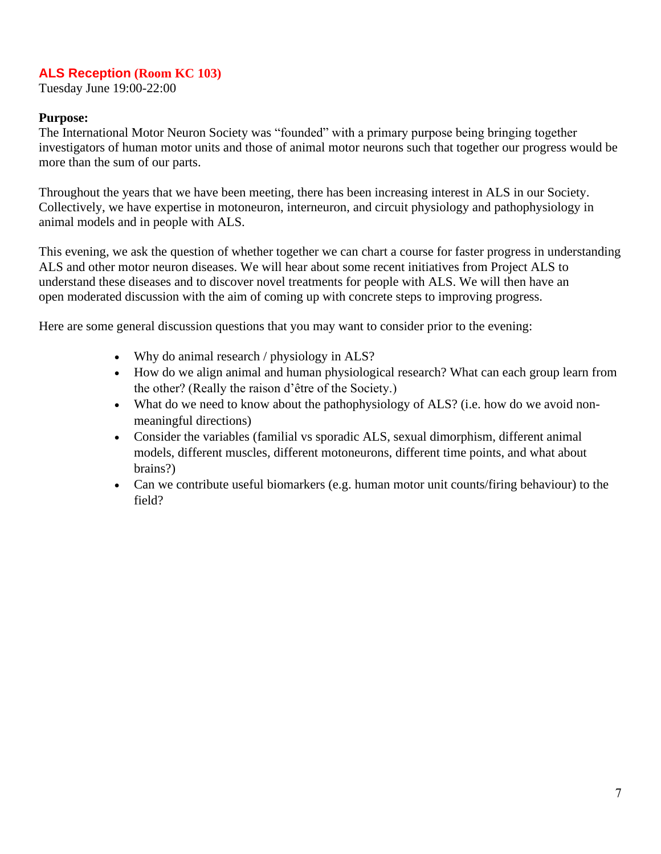#### **ALS Reception (Room KC 103)**

Tuesday June 19:00-22:00

#### **Purpose:**

The International Motor Neuron Society was "founded" with a primary purpose being bringing together investigators of human motor units and those of animal motor neurons such that together our progress would be more than the sum of our parts.

Throughout the years that we have been meeting, there has been increasing interest in ALS in our Society. Collectively, we have expertise in motoneuron, interneuron, and circuit physiology and pathophysiology in animal models and in people with ALS.

This evening, we ask the question of whether together we can chart a course for faster progress in understanding ALS and other motor neuron diseases. We will hear about some recent initiatives from Project ALS to understand these diseases and to discover novel treatments for people with ALS. We will then have an open moderated discussion with the aim of coming up with concrete steps to improving progress.

Here are some general discussion questions that you may want to consider prior to the evening:

- Why do animal research / physiology in ALS?
- How do we align animal and human physiological research? What can each group learn from the other? (Really the raison d'être of the Society.)
- What do we need to know about the pathophysiology of ALS? (i.e. how do we avoid nonmeaningful directions)
- Consider the variables (familial vs sporadic ALS, sexual dimorphism, different animal models, different muscles, different motoneurons, different time points, and what about brains?)
- Can we contribute useful biomarkers (e.g. human motor unit counts/firing behaviour) to the field?